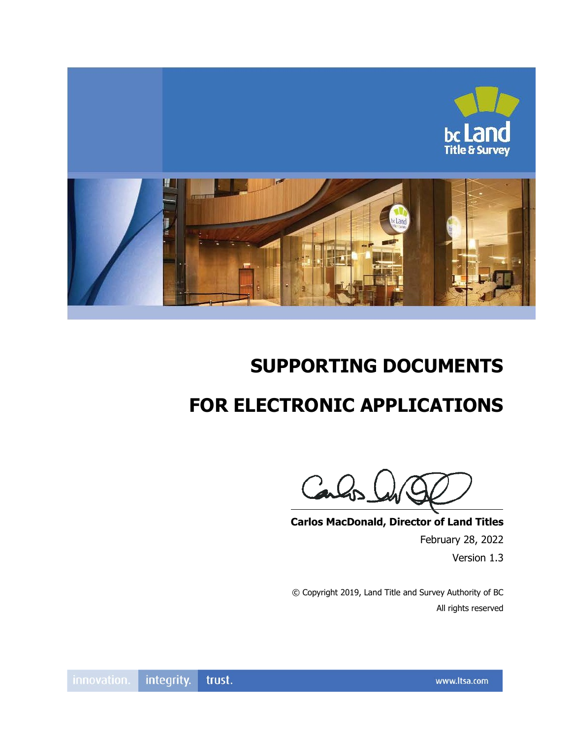

# **SUPPORTING DOCUMENTS**

# **FOR ELECTRONIC APPLICATIONS**

Calc

**Carlos MacDonald, Director of Land Titles**

February 28, 2022 Version 1.3

© Copyright 2019, Land Title and Survey Authority of BC All rights reserved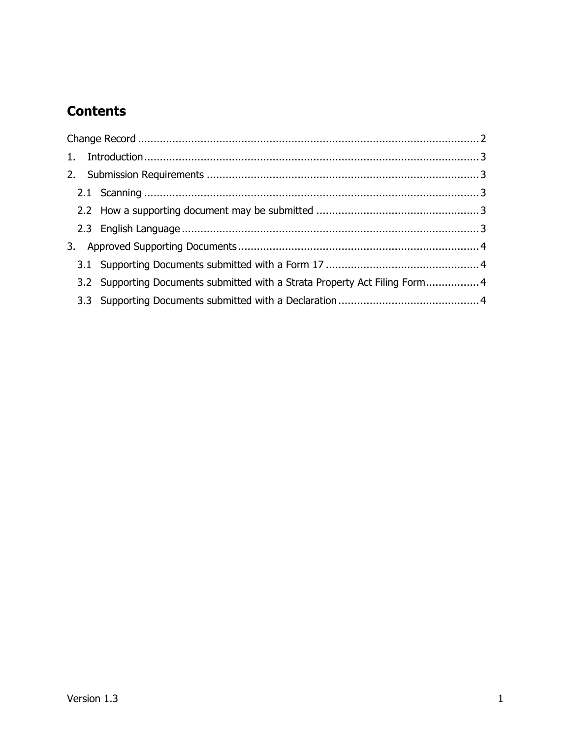# **Contents**

|  |  | 3.2 Supporting Documents submitted with a Strata Property Act Filing Form 4 |  |  |  |  |  |
|--|--|-----------------------------------------------------------------------------|--|--|--|--|--|
|  |  |                                                                             |  |  |  |  |  |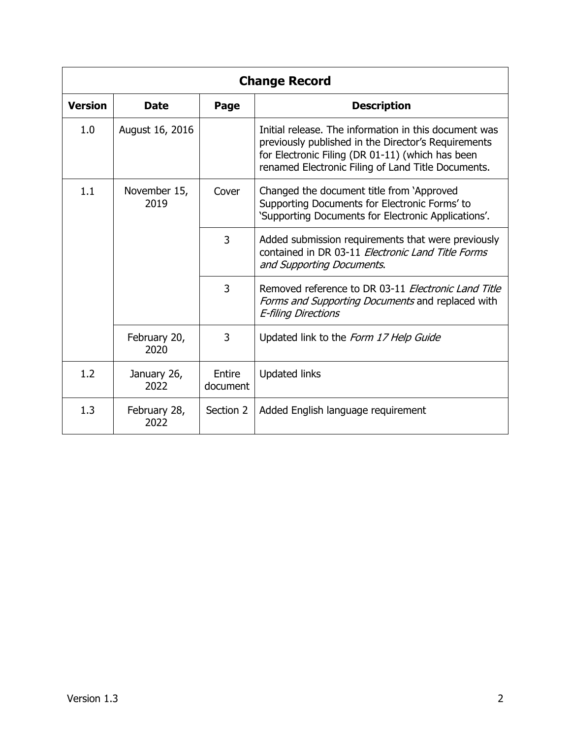<span id="page-2-0"></span>

| <b>Change Record</b> |                      |                    |                                                                                                                                                                                                                        |  |  |  |
|----------------------|----------------------|--------------------|------------------------------------------------------------------------------------------------------------------------------------------------------------------------------------------------------------------------|--|--|--|
| <b>Version</b>       | <b>Date</b>          | Page               | <b>Description</b>                                                                                                                                                                                                     |  |  |  |
| 1.0                  | August 16, 2016      |                    | Initial release. The information in this document was<br>previously published in the Director's Requirements<br>for Electronic Filing (DR 01-11) (which has been<br>renamed Electronic Filing of Land Title Documents. |  |  |  |
| 1.1                  | November 15,<br>2019 | Cover              | Changed the document title from 'Approved<br>Supporting Documents for Electronic Forms' to<br>'Supporting Documents for Electronic Applications'.                                                                      |  |  |  |
|                      |                      | 3                  | Added submission requirements that were previously<br>contained in DR 03-11 Electronic Land Title Forms<br>and Supporting Documents.                                                                                   |  |  |  |
|                      |                      | 3                  | Removed reference to DR 03-11 Electronic Land Title<br>Forms and Supporting Documents and replaced with<br><b>E-filing Directions</b>                                                                                  |  |  |  |
|                      | February 20,<br>2020 | 3                  | Updated link to the Form 17 Help Guide                                                                                                                                                                                 |  |  |  |
| 1.2                  | January 26,<br>2022  | Entire<br>document | <b>Updated links</b>                                                                                                                                                                                                   |  |  |  |
| 1.3                  | February 28,<br>2022 | Section 2          | Added English language requirement                                                                                                                                                                                     |  |  |  |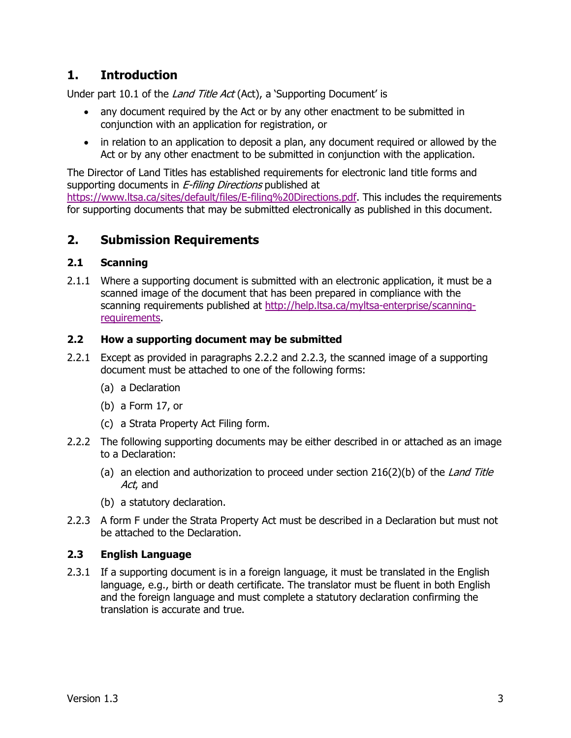## <span id="page-3-0"></span>**1. Introduction**

Under part 10.1 of the *Land Title Act* (Act), a 'Supporting Document' is

- any document required by the Act or by any other enactment to be submitted in conjunction with an application for registration, or
- in relation to an application to deposit a plan, any document required or allowed by the Act or by any other enactment to be submitted in conjunction with the application.

The Director of Land Titles has established requirements for electronic land title forms and supporting documents in *E-filing Directions* published at [https://www.ltsa.ca/sites/default/files/E-filing%20Directions.pdf.](https://www.ltsa.ca/sites/default/files/E-filing%20Directions.pdf) This includes the requirements for supporting documents that may be submitted electronically as published in this document.

### <span id="page-3-1"></span>**2. Submission Requirements**

#### <span id="page-3-2"></span>**2.1 Scanning**

2.1.1 Where a supporting document is submitted with an electronic application, it must be a scanned image of the document that has been prepared in compliance with the scanning requirements published at [http://help.ltsa.ca/myltsa-enterprise/scanning](http://help.ltsa.ca/myltsa-enterprise/scanning-requirements)[requirements.](http://help.ltsa.ca/myltsa-enterprise/scanning-requirements)

#### <span id="page-3-3"></span>**2.2 How a supporting document may be submitted**

- 2.2.1 Except as provided in paragraphs 2.2.2 and 2.2.3, the scanned image of a supporting document must be attached to one of the following forms:
	- (a) a Declaration
	- (b) a Form 17, or
	- (c) a Strata Property Act Filing form.
- 2.2.2 The following supporting documents may be either described in or attached as an image to a Declaration:
	- (a) an election and authorization to proceed under section  $216(2)(b)$  of the Land Title Act, and
	- (b) a statutory declaration.
- 2.2.3 A form F under the Strata Property Act must be described in a Declaration but must not be attached to the Declaration.

#### <span id="page-3-4"></span>**2.3 English Language**

2.3.1 If a supporting document is in a foreign language, it must be translated in the English language, e.g., birth or death certificate. The translator must be fluent in both English and the foreign language and must complete a statutory declaration confirming the translation is accurate and true.